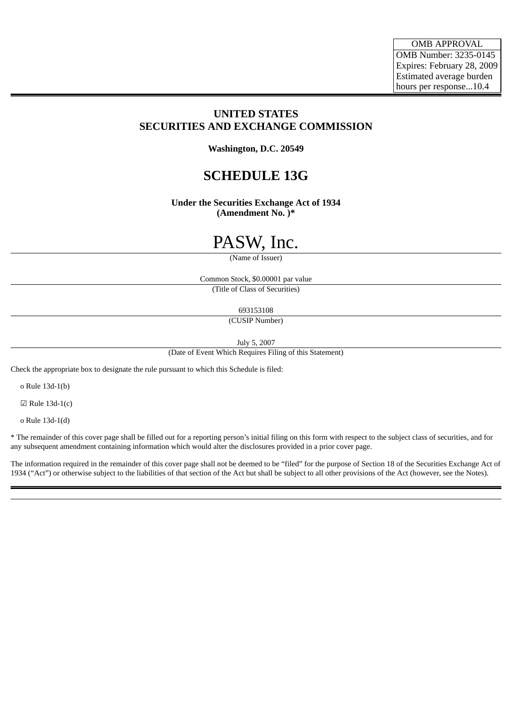# **UNITED STATES SECURITIES AND EXCHANGE COMMISSION**

**Washington, D.C. 20549**

# **SCHEDULE 13G**

**Under the Securities Exchange Act of 1934 (Amendment No. )\***

# PASW, Inc.

(Name of Issuer)

Common Stock, \$0.00001 par value (Title of Class of Securities)

693153108

(CUSIP Number)

July 5, 2007

(Date of Event Which Requires Filing of this Statement)

Check the appropriate box to designate the rule pursuant to which this Schedule is filed:

o Rule 13d-1(b)

 $\boxtimes$  Rule 13d-1(c)

o Rule 13d-1(d)

\* The remainder of this cover page shall be filled out for a reporting person's initial filing on this form with respect to the subject class of securities, and for any subsequent amendment containing information which would alter the disclosures provided in a prior cover page.

The information required in the remainder of this cover page shall not be deemed to be "filed" for the purpose of Section 18 of the Securities Exchange Act of 1934 ("Act") or otherwise subject to the liabilities of that section of the Act but shall be subject to all other provisions of the Act (however, see the Notes).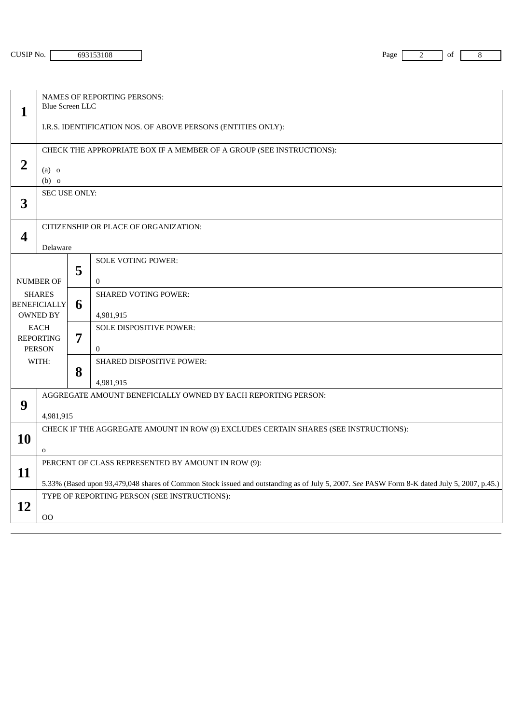| 3108 | <b>TN</b><br>Page<br>ີ |  | of |  |
|------|------------------------|--|----|--|
|      |                        |  |    |  |

|                                                    | <b>NAMES OF REPORTING PERSONS:</b>                                                                                                          |   |                                                               |  |  |
|----------------------------------------------------|---------------------------------------------------------------------------------------------------------------------------------------------|---|---------------------------------------------------------------|--|--|
| $\mathbf{1}$                                       | <b>Blue Screen LLC</b>                                                                                                                      |   |                                                               |  |  |
|                                                    | I.R.S. IDENTIFICATION NOS. OF ABOVE PERSONS (ENTITIES ONLY):                                                                                |   |                                                               |  |  |
|                                                    | CHECK THE APPROPRIATE BOX IF A MEMBER OF A GROUP (SEE INSTRUCTIONS):                                                                        |   |                                                               |  |  |
| $\overline{2}$                                     | $(a)$ o<br>$(b)$ o                                                                                                                          |   |                                                               |  |  |
| 3                                                  | <b>SEC USE ONLY:</b>                                                                                                                        |   |                                                               |  |  |
|                                                    | CITIZENSHIP OR PLACE OF ORGANIZATION:<br>$\boldsymbol{4}$<br>Delaware                                                                       |   |                                                               |  |  |
|                                                    |                                                                                                                                             |   |                                                               |  |  |
|                                                    |                                                                                                                                             | 5 | <b>SOLE VOTING POWER:</b>                                     |  |  |
|                                                    | <b>NUMBER OF</b>                                                                                                                            |   | $\mathbf{0}$                                                  |  |  |
| <b>SHARES</b>                                      |                                                                                                                                             |   | <b>SHARED VOTING POWER:</b>                                   |  |  |
|                                                    | <b>BENEFICIALLY</b><br><b>OWNED BY</b>                                                                                                      | 6 | 4,981,915                                                     |  |  |
| EACH<br><b>REPORTING</b><br><b>PERSON</b><br>WITH: |                                                                                                                                             | 7 | SOLE DISPOSITIVE POWER:                                       |  |  |
|                                                    |                                                                                                                                             |   | $\Omega$                                                      |  |  |
|                                                    |                                                                                                                                             | 8 | SHARED DISPOSITIVE POWER:                                     |  |  |
|                                                    |                                                                                                                                             |   | 4,981,915                                                     |  |  |
| 9                                                  |                                                                                                                                             |   | AGGREGATE AMOUNT BENEFICIALLY OWNED BY EACH REPORTING PERSON: |  |  |
|                                                    | 4,981,915                                                                                                                                   |   |                                                               |  |  |
| 10                                                 | CHECK IF THE AGGREGATE AMOUNT IN ROW (9) EXCLUDES CERTAIN SHARES (SEE INSTRUCTIONS):                                                        |   |                                                               |  |  |
|                                                    | $\mathbf 0$                                                                                                                                 |   |                                                               |  |  |
| 11                                                 | PERCENT OF CLASS REPRESENTED BY AMOUNT IN ROW (9):                                                                                          |   |                                                               |  |  |
|                                                    | 5.33% (Based upon 93,479,048 shares of Common Stock issued and outstanding as of July 5, 2007. See PASW Form 8-K dated July 5, 2007, p.45.) |   |                                                               |  |  |
| 12                                                 | TYPE OF REPORTING PERSON (SEE INSTRUCTIONS):                                                                                                |   |                                                               |  |  |
|                                                    | 00                                                                                                                                          |   |                                                               |  |  |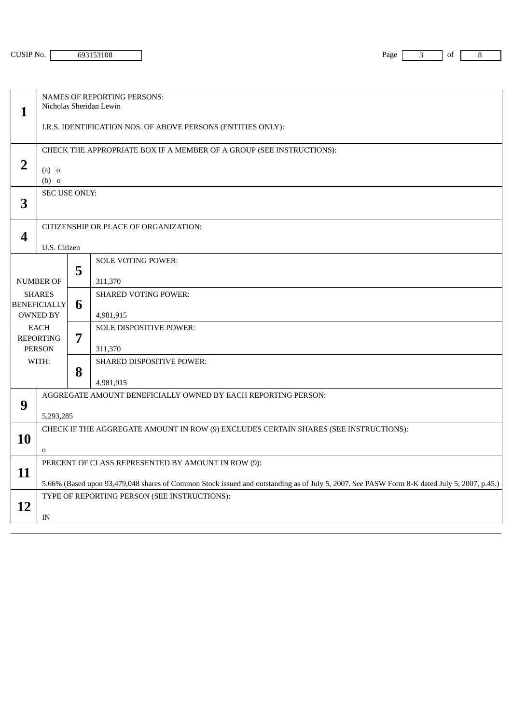| CUSIP No. $ $ | 69315310 |
|---------------|----------|
|---------------|----------|

| CO 34 F<br>08<br>195<br>. | Page<br>$\sim$ | of |  |
|---------------------------|----------------|----|--|
|                           |                |    |  |

|                                                                                                                                          | <b>NAMES OF REPORTING PERSONS:</b><br>Nicholas Sheridan Lewin                                                                                                                               |   |                                                               |  |  |
|------------------------------------------------------------------------------------------------------------------------------------------|---------------------------------------------------------------------------------------------------------------------------------------------------------------------------------------------|---|---------------------------------------------------------------|--|--|
| $\mathbf{1}$                                                                                                                             |                                                                                                                                                                                             |   |                                                               |  |  |
|                                                                                                                                          |                                                                                                                                                                                             |   | I.R.S. IDENTIFICATION NOS. OF ABOVE PERSONS (ENTITIES ONLY):  |  |  |
|                                                                                                                                          | CHECK THE APPROPRIATE BOX IF A MEMBER OF A GROUP (SEE INSTRUCTIONS):                                                                                                                        |   |                                                               |  |  |
| $\overline{2}$                                                                                                                           | $(a)$ o<br>$(b)$ o                                                                                                                                                                          |   |                                                               |  |  |
| 3                                                                                                                                        | SEC USE ONLY:                                                                                                                                                                               |   |                                                               |  |  |
| 4                                                                                                                                        | CITIZENSHIP OR PLACE OF ORGANIZATION:                                                                                                                                                       |   |                                                               |  |  |
|                                                                                                                                          | U.S. Citizen                                                                                                                                                                                |   |                                                               |  |  |
|                                                                                                                                          |                                                                                                                                                                                             | 5 | <b>SOLE VOTING POWER:</b>                                     |  |  |
| <b>NUMBER OF</b><br><b>SHARES</b><br><b>BENEFICIALLY</b><br><b>OWNED BY</b><br><b>EACH</b><br><b>REPORTING</b><br><b>PERSON</b><br>WITH: |                                                                                                                                                                                             |   | 311,370                                                       |  |  |
|                                                                                                                                          |                                                                                                                                                                                             | 6 | <b>SHARED VOTING POWER:</b><br>4,981,915                      |  |  |
|                                                                                                                                          |                                                                                                                                                                                             |   | SOLE DISPOSITIVE POWER:                                       |  |  |
|                                                                                                                                          |                                                                                                                                                                                             | 7 | 311,370                                                       |  |  |
|                                                                                                                                          |                                                                                                                                                                                             |   | SHARED DISPOSITIVE POWER:                                     |  |  |
|                                                                                                                                          |                                                                                                                                                                                             | 8 | 4,981,915                                                     |  |  |
| 9                                                                                                                                        |                                                                                                                                                                                             |   | AGGREGATE AMOUNT BENEFICIALLY OWNED BY EACH REPORTING PERSON: |  |  |
|                                                                                                                                          | 5,293,285                                                                                                                                                                                   |   |                                                               |  |  |
| 10                                                                                                                                       | CHECK IF THE AGGREGATE AMOUNT IN ROW (9) EXCLUDES CERTAIN SHARES (SEE INSTRUCTIONS):                                                                                                        |   |                                                               |  |  |
|                                                                                                                                          | $\mathbf 0$                                                                                                                                                                                 |   |                                                               |  |  |
| 11                                                                                                                                       | PERCENT OF CLASS REPRESENTED BY AMOUNT IN ROW (9):                                                                                                                                          |   |                                                               |  |  |
|                                                                                                                                          | 5.66% (Based upon 93,479,048 shares of Common Stock issued and outstanding as of July 5, 2007. See PASW Form 8-K dated July 5, 2007, p.45.)<br>TYPE OF REPORTING PERSON (SEE INSTRUCTIONS): |   |                                                               |  |  |
| <b>12</b>                                                                                                                                |                                                                                                                                                                                             |   |                                                               |  |  |
|                                                                                                                                          | IN                                                                                                                                                                                          |   |                                                               |  |  |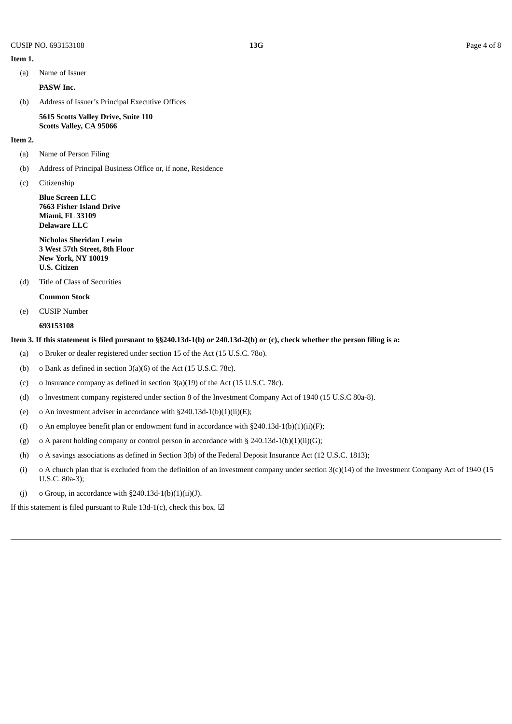(a) Name of Issuer

**PASW Inc.**

(b) Address of Issuer's Principal Executive Offices

**5615 Scotts Valley Drive, Suite 110 Scotts Valley, CA 95066**

#### **Item 2.**

**Item 1.**

- (a) Name of Person Filing
- (b) Address of Principal Business Office or, if none, Residence
- (c) Citizenship

**Blue Screen LLC 7663 Fisher Island Drive Miami, FL 33109 Delaware LLC**

**Nicholas Sheridan Lewin 3 West 57th Street, 8th Floor New York, NY 10019 U.S. Citizen**

(d) Title of Class of Securities

**Common Stock**

(e) CUSIP Number

**693153108**

## Item 3. If this statement is filed pursuant to §§240.13d-1(b) or 240.13d-2(b) or (c), check whether the person filing is a:

- (a) o Broker or dealer registered under section 15 of the Act (15 U.S.C. 78o).
- (b) o Bank as defined in section 3(a)(6) of the Act (15 U.S.C. 78c).
- (c) o Insurance company as defined in section  $3(a)(19)$  of the Act (15 U.S.C. 78c).
- (d) o Investment company registered under section 8 of the Investment Company Act of 1940 (15 U.S.C 80a-8).
- (e) o An investment adviser in accordance with  $§240.13d-1(b)(1)(ii)(E);$
- (f) o An employee benefit plan or endowment fund in accordance with  $\S 240.13d-1(b)(1)(ii)(F)$ ;
- (g) o A parent holding company or control person in accordance with § 240.13d-1(b)(1)(ii)(G);
- (h) o A savings associations as defined in Section 3(b) of the Federal Deposit Insurance Act (12 U.S.C. 1813);
- (i) o A church plan that is excluded from the definition of an investment company under section 3(c)(14) of the Investment Company Act of 1940 (15 U.S.C. 80a-3);
- (j) o Group, in accordance with  $§240.13d-1(b)(1)(ii)(J)$ .

If this statement is filed pursuant to Rule 13d-1(c), check this box.  $\Box$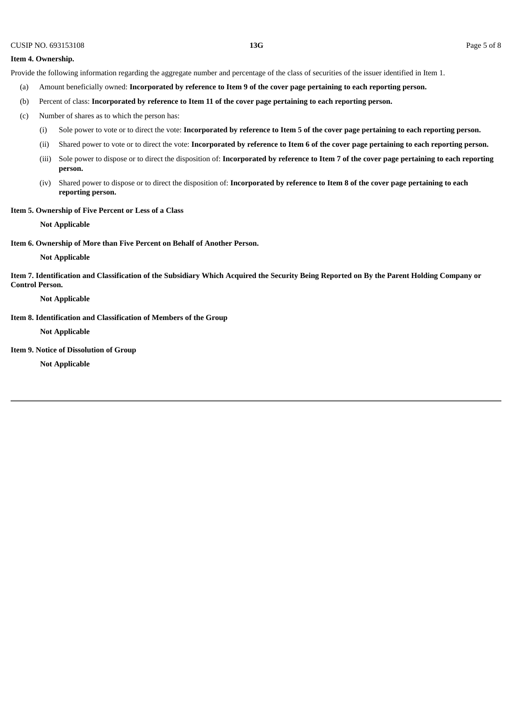#### **Item 4. Ownership.**

Provide the following information regarding the aggregate number and percentage of the class of securities of the issuer identified in Item 1.

- (a) Amount beneficially owned: Incorporated by reference to Item 9 of the cover page pertaining to each reporting person.
- (b) Percent of class: **Incorporated by reference to Item 11 of the cover page pertaining to each reporting person.**
- (c) Number of shares as to which the person has:
	- (i) Sole power to vote or to direct the vote: Incorporated by reference to Item 5 of the cover page pertaining to each reporting person.
	- (ii) Shared power to vote or to direct the vote: Incorporated by reference to Item 6 of the cover page pertaining to each reporting person.
	- (iii) Sole power to dispose or to direct the disposition of: Incorporated by reference to Item 7 of the cover page pertaining to each reporting **person.**
	- (iv) Shared power to dispose or to direct the disposition of: Incorporated by reference to Item 8 of the cover page pertaining to each **reporting person.**

# **Item 5. Ownership of Five Percent or Less of a Class**

**Not Applicable**

**Item 6. Ownership of More than Five Percent on Behalf of Another Person.**

**Not Applicable**

Item 7. Identification and Classification of the Subsidiary Which Acquired the Security Being Reported on By the Parent Holding Company or **Control Person.**

**Not Applicable**

**Item 8. Identification and Classification of Members of the Group**

**Not Applicable**

**Item 9. Notice of Dissolution of Group**

**Not Applicable**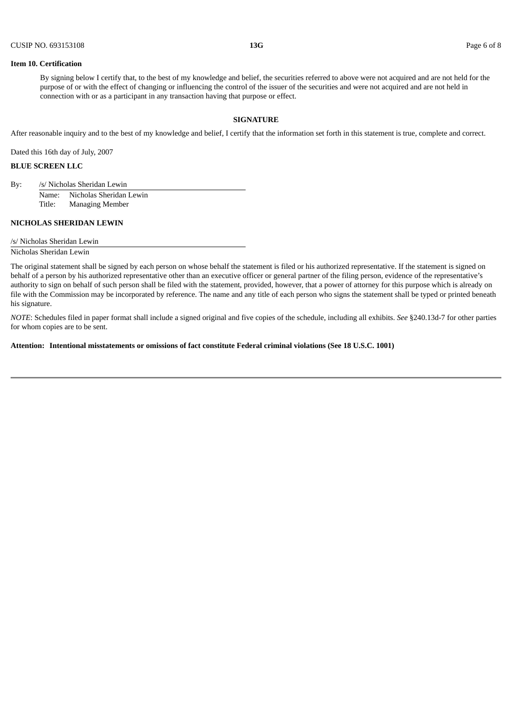#### **Item 10. Certification**

By signing below I certify that, to the best of my knowledge and belief, the securities referred to above were not acquired and are not held for the purpose of or with the effect of changing or influencing the control of the issuer of the securities and were not acquired and are not held in connection with or as a participant in any transaction having that purpose or effect.

# **SIGNATURE**

After reasonable inquiry and to the best of my knowledge and belief, I certify that the information set forth in this statement is true, complete and correct.

Dated this 16th day of July, 2007

# **BLUE SCREEN LLC**

By: /s/ Nicholas Sheridan Lewin

Name: Nicholas Sheridan Lewin Title: Managing Member

# **NICHOLAS SHERIDAN LEWIN**

/s/ Nicholas Sheridan Lewin

Nicholas Sheridan Lewin

The original statement shall be signed by each person on whose behalf the statement is filed or his authorized representative. If the statement is signed on behalf of a person by his authorized representative other than an executive officer or general partner of the filing person, evidence of the representative's authority to sign on behalf of such person shall be filed with the statement, provided, however, that a power of attorney for this purpose which is already on file with the Commission may be incorporated by reference. The name and any title of each person who signs the statement shall be typed or printed beneath his signature.

*NOTE*: Schedules filed in paper format shall include a signed original and five copies of the schedule, including all exhibits. *See* §240.13d-7 for other parties for whom copies are to be sent.

**Attention: Intentional misstatements or omissions of fact constitute Federal criminal violations (See 18 U.S.C. 1001)**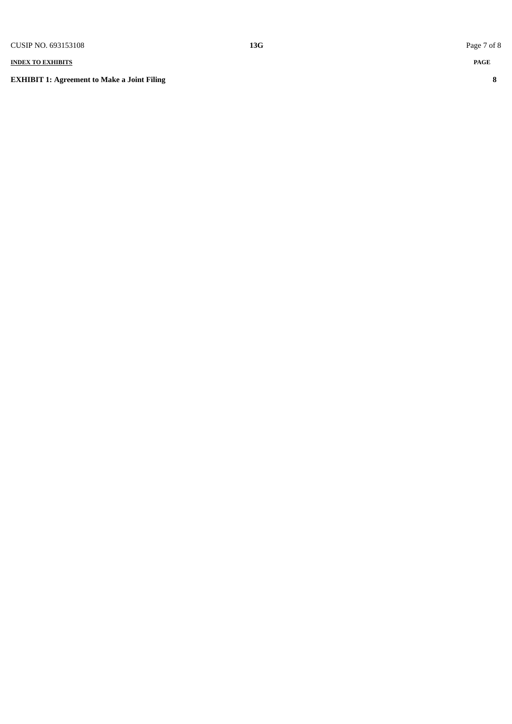# **INDEX TO EXHIBITS**

**EXHIBIT 1: Agreement to Make a Joint Filing** 

 $13G$